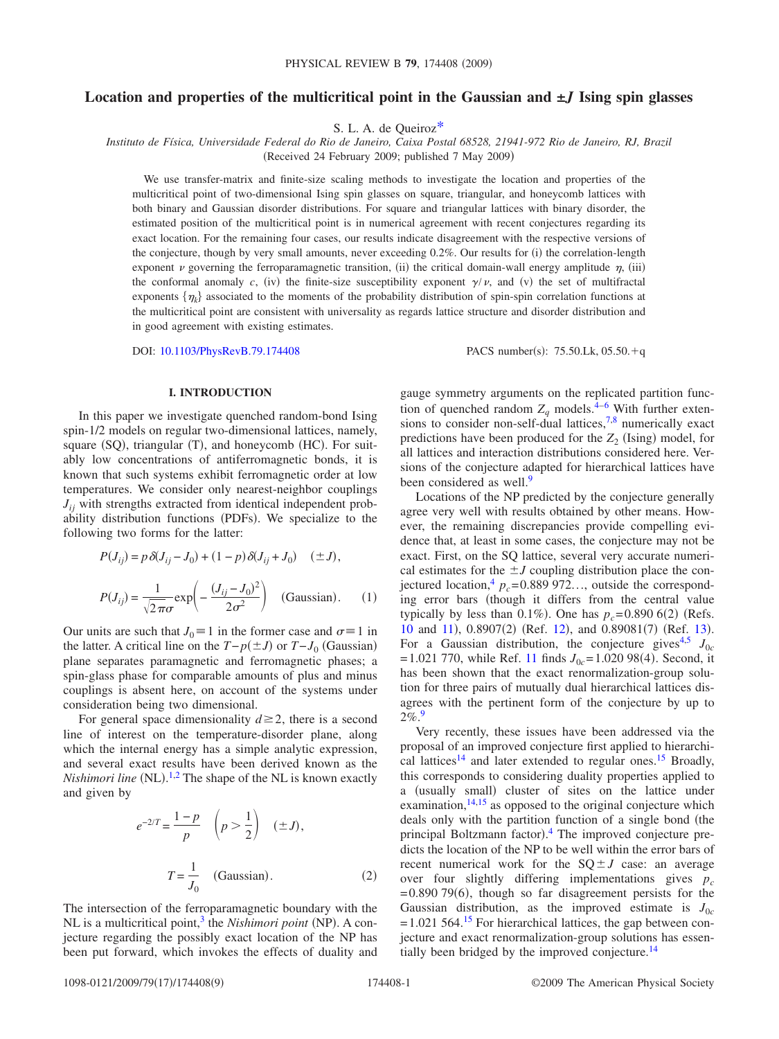# **Location and properties of the multicritical point in the Gaussian and ±***J* **Ising spin glasses**

S. L. A. de Queiro[z\\*](#page-8-0)

*Instituto de Física, Universidade Federal do Rio de Janeiro, Caixa Postal 68528, 21941-972 Rio de Janeiro, RJ, Brazil*

(Received 24 February 2009; published 7 May 2009)

We use transfer-matrix and finite-size scaling methods to investigate the location and properties of the multicritical point of two-dimensional Ising spin glasses on square, triangular, and honeycomb lattices with both binary and Gaussian disorder distributions. For square and triangular lattices with binary disorder, the estimated position of the multicritical point is in numerical agreement with recent conjectures regarding its exact location. For the remaining four cases, our results indicate disagreement with the respective versions of the conjecture, though by very small amounts, never exceeding 0.2%. Our results for (i) the correlation-length exponent  $\nu$  governing the ferroparamagnetic transition, (ii) the critical domain-wall energy amplitude  $\eta$ , (iii) the conformal anomaly *c*, (iv) the finite-size susceptibility exponent  $\gamma/\nu$ , and (v) the set of multifractal exponents  $\{\eta_k\}$  associated to the moments of the probability distribution of spin-spin correlation functions at the multicritical point are consistent with universality as regards lattice structure and disorder distribution and in good agreement with existing estimates.

DOI: [10.1103/PhysRevB.79.174408](http://dx.doi.org/10.1103/PhysRevB.79.174408)

PACS number(s):  $75.50$ .Lk,  $05.50 + q$ 

### **I. INTRODUCTION**

In this paper we investigate quenched random-bond Ising spin-1/2 models on regular two-dimensional lattices, namely, square (SQ), triangular (T), and honeycomb (HC). For suitably low concentrations of antiferromagnetic bonds, it is known that such systems exhibit ferromagnetic order at low temperatures. We consider only nearest-neighbor couplings  $J_{ii}$  with strengths extracted from identical independent probability distribution functions (PDFs). We specialize to the following two forms for the latter:

$$
P(J_{ij}) = p \delta(J_{ij} - J_0) + (1 - p) \delta(J_{ij} + J_0) \quad (\pm J),
$$
  

$$
P(J_{ij}) = \frac{1}{\sqrt{2\pi}\sigma} \exp\left(-\frac{(J_{ij} - J_0)^2}{2\sigma^2}\right) \quad \text{(Gaussian)}.
$$
 (1)

Our units are such that  $J_0 \equiv 1$  in the former case and  $\sigma = 1$  in the latter. A critical line on the  $T-p(±J)$  or  $T-J_0$  (Gaussian) plane separates paramagnetic and ferromagnetic phases; a spin-glass phase for comparable amounts of plus and minus couplings is absent here, on account of the systems under consideration being two dimensional.

For general space dimensionality  $d \ge 2$ , there is a second line of interest on the temperature-disorder plane, along which the internal energy has a simple analytic expression, and several exact results have been derived known as the *Nishimori line* (NL).<sup>[1](#page-8-1)[,2](#page-8-2)</sup> The shape of the NL is known exactly and given by

$$
e^{-2/T} = \frac{1-p}{p} \quad \left(p > \frac{1}{2}\right) \quad (\pm J),
$$

$$
T = \frac{1}{J_0} \quad \text{(Gaussian)}.
$$
 (2)

The intersection of the ferroparamagnetic boundary with the NL is a multicritical point,<sup>3</sup> the *Nishimori point* (NP). A conjecture regarding the possibly exact location of the NP has been put forward, which invokes the effects of duality and gauge symmetry arguments on the replicated partition function of quenched random  $Z_q$  models.<sup>4[–6](#page-8-5)</sup> With further extensions to consider non-self-dual lattices, $7,8$  $7,8$  numerically exact predictions have been produced for the  $Z_2$  (Ising) model, for all lattices and interaction distributions considered here. Versions of the conjecture adapted for hierarchical lattices have been considered as well.<sup>9</sup>

Locations of the NP predicted by the conjecture generally agree very well with results obtained by other means. However, the remaining discrepancies provide compelling evidence that, at least in some cases, the conjecture may not be exact. First, on the SQ lattice, several very accurate numerical estimates for the  $\pm J$  coupling distribution place the conjectured location,  $p_c = 0.889972...$ , outside the corresponding error bars (though it differs from the central value typically by less than  $0.1\%$ ). One has  $p_c = 0.890\,6(2)$  (Refs.  $10$  and  $11$ ),  $0.8907(2)$  (Ref. [12](#page-8-11)), and  $0.89081(7)$  (Ref. [13](#page-8-12)). For a Gaussian distribution, the conjecture gives<sup>4,[5](#page-8-13)</sup>  $J_{0c}$  $= 1.021$  770, while Ref. [11](#page-8-10) finds  $J_{0c} = 1.020$  98(4). Second, it has been shown that the exact renormalization-group solution for three pairs of mutually dual hierarchical lattices disagrees with the pertinent form of the conjecture by up to 2%[.9](#page-8-8)

Very recently, these issues have been addressed via the proposal of an improved conjecture first applied to hierarchical lattices<sup>14</sup> and later extended to regular ones.<sup>15</sup> Broadly, this corresponds to considering duality properties applied to a (usually small) cluster of sites on the lattice under examination, $14,15$  $14,15$  as opposed to the original conjecture which deals only with the partition function of a single bond (the principal Boltzmann factor).<sup>[4](#page-8-4)</sup> The improved conjecture predicts the location of the NP to be well within the error bars of recent numerical work for the  $SQ \pm J$  case: an average over four slightly differing implementations gives  $p_c$  $= 0.890$  79(6), though so far disagreement persists for the Gaussian distribution, as the improved estimate is  $J_{0c}$  $= 1.021$  564.<sup>15</sup> For hierarchical lattices, the gap between conjecture and exact renormalization-group solutions has essentially been bridged by the improved conjecture. $^{14}$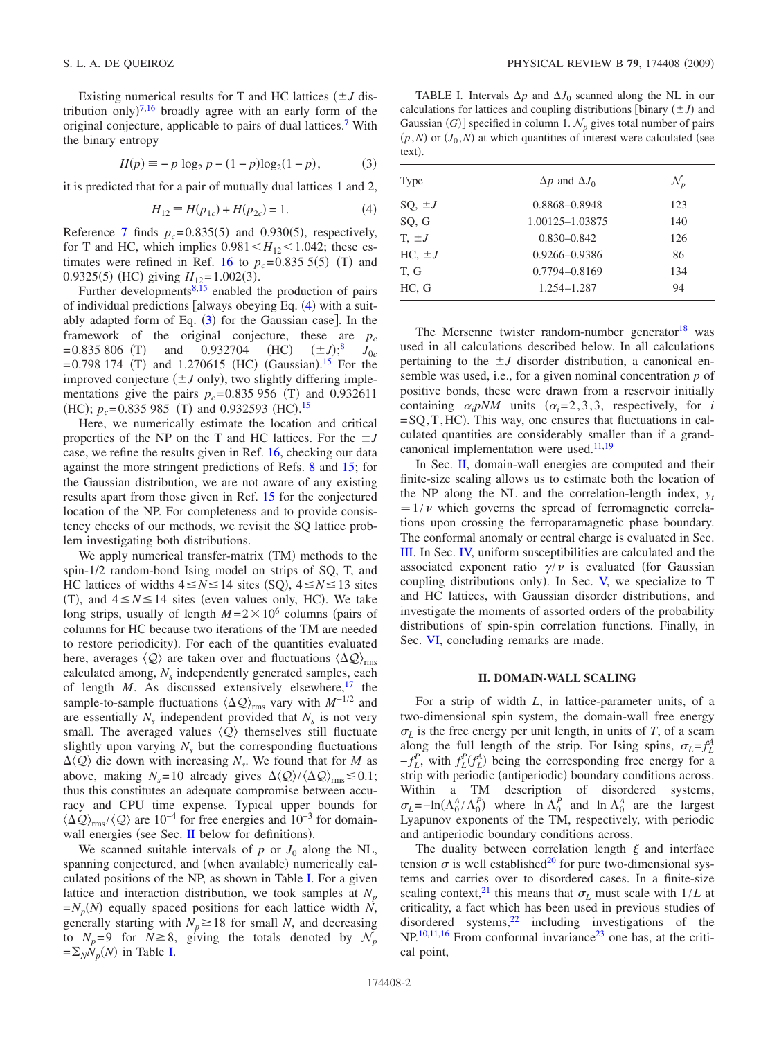Existing numerical results for T and HC lattices  $(\pm J)$  dis-tribution only)<sup>[7](#page-8-6)[,16](#page-8-16)</sup> broadly agree with an early form of the original conjecture, applicable to pairs of dual lattices[.7](#page-8-6) With the binary entropy

$$
H(p) \equiv -p \log_2 p - (1-p)\log_2(1-p),
$$
 (3)

<span id="page-1-1"></span>it is predicted that for a pair of mutually dual lattices 1 and 2,

$$
H_{12} \equiv H(p_{1c}) + H(p_{2c}) = 1.
$$
 (4)

<span id="page-1-0"></span>Reference [7](#page-8-6) finds  $p_c = 0.835(5)$  and 0.930(5), respectively, for T and HC, which implies  $0.981 \leq H_{12} \leq 1.042$ ; these es-timates were refined in Ref. [16](#page-8-16) to  $p_c = 0.8355(5)$  (T) and 0.9325(5) (HC) giving  $H_{12} = 1.002(3)$ .

Further developments $8,15$  $8,15$  enabled the production of pairs of individual predictions [always obeying Eq. ([4](#page-1-0)) with a suitably adapted form of Eq.  $(3)$  $(3)$  $(3)$  for the Gaussian case]. In the framework of the original conjecture, these are  $p_c$ <br>=0.835 806 (T) and 0.932704 (HC)  $(\pm J)_3^8$   $J_{0c}$  $= 0.835 806$  (T) and 0.932704 (HC)  $(\pm J)$ ;<sup>[8](#page-8-7)</sup>  $J_{0c}$  $= 0.798$  174 (T) and 1.2706[15](#page-8-15) (HC) (Gaussian).<sup>15</sup> For the improved conjecture  $(\pm J$  only), two slightly differing implementations give the pairs  $p_c = 0.835956$  (T) and 0.932611 (HC);  $p_c = 0.835985$  (T) and 0.932593 (HC).<sup>[15](#page-8-15)</sup>

Here, we numerically estimate the location and critical properties of the NP on the T and HC lattices. For the  $\pm J$ case, we refine the results given in Ref. [16,](#page-8-16) checking our data against the more stringent predictions of Refs. [8](#page-8-7) and [15;](#page-8-15) for the Gaussian distribution, we are not aware of any existing results apart from those given in Ref. [15](#page-8-15) for the conjectured location of the NP. For completeness and to provide consistency checks of our methods, we revisit the SQ lattice problem investigating both distributions.

We apply numerical transfer-matrix (TM) methods to the spin-1/2 random-bond Ising model on strips of SQ, T, and HC lattices of widths  $4 \le N \le 14$  sites (SQ),  $4 \le N \le 13$  sites (T), and  $4 \le N \le 14$  sites (even values only, HC). We take long strips, usually of length  $M = 2 \times 10^6$  columns (pairs of columns for HC because two iterations of the TM are needed to restore periodicity). For each of the quantities evaluated here, averages  $\langle Q \rangle$  are taken over and fluctuations  $\langle \Delta Q \rangle_{\text{rms}}$ calculated among,  $N<sub>s</sub>$  independently generated samples, each of length  $M$ . As discussed extensively elsewhere,  $17$  the sample-to-sample fluctuations  $\langle \Delta \mathcal{Q} \rangle_{\text{rms}}$  vary with *M*<sup>−1/2</sup> and are essentially  $N_s$  independent provided that  $N_s$  is not very small. The averaged values  $\langle Q \rangle$  themselves still fluctuate slightly upon varying  $N<sub>s</sub>$  but the corresponding fluctuations  $\Delta \langle Q \rangle$  die down with increasing *N<sub>s</sub>*. We found that for *M* as above, making  $N_s = 10$  already gives  $\Delta \langle Q \rangle / \langle \Delta Q \rangle_{\text{rms}} \lesssim 0.1$ ; thus this constitutes an adequate compromise between accuracy and CPU time expense. Typical upper bounds for  $\langle \Delta \mathcal{Q} \rangle_{\rm rms} / \langle \mathcal{Q} \rangle$  are 10<sup>-4</sup> for free energies and 10<sup>-3</sup> for domain-wall energies (see Sec. [II](#page-1-2) below for definitions).

We scanned suitable intervals of  $p$  or  $J_0$  along the NL, spanning conjectured, and (when available) numerically calculated positions of the NP, as shown in Table [I.](#page-1-3) For a given lattice and interaction distribution, we took samples at  $N_p$  $=N_p(N)$  equally spaced positions for each lattice width N, generally starting with  $N_p \ge 18$  for small *N*, and decreasing to  $N_p=9$  for  $N \ge 8$ , giving the totals denoted by  $\mathcal{N}_p$  $=\sum_{N} N_{p}(N)$  in Table [I.](#page-1-3)

<span id="page-1-3"></span>TABLE I. Intervals  $\Delta p$  and  $\Delta J_0$  scanned along the NL in our calculations for lattices and coupling distributions [binary  $(\pm J)$  and Gaussian *(G)*] specified in column 1.  $\mathcal{N}_p$  gives total number of pairs  $(p, N)$  or  $(J_0, N)$  at which quantities of interest were calculated (see text).

| Type              | $\Delta p$ and $\Delta J_0$ | $\mathcal{N}_p$ |  |
|-------------------|-----------------------------|-----------------|--|
| $SQ, \pm J$       | 0.8868-0.8948               | 123             |  |
| SQ, G             | 1.00125-1.03875             | 140             |  |
| $T_{\rm t} \pm J$ | $0.830 - 0.842$             | 126             |  |
| $HC, \pm J$       | 0.9266-0.9386               | 86              |  |
| T. G              | 0.7794-0.8169               | 134             |  |
| HC, G             | 1.254-1.287                 | 94              |  |

The Mersenne twister random-number generator<sup>18</sup> was used in all calculations described below. In all calculations pertaining to the  $\pm J$  disorder distribution, a canonical ensemble was used, i.e., for a given nominal concentration *p* of positive bonds, these were drawn from a reservoir initially containing  $\alpha_i pNM$  units  $(\alpha_i=2,3,3)$ , respectively, for *i*  $=$  SQ, T, HC). This way, one ensures that fluctuations in calculated quantities are considerably smaller than if a grandcanonical implementation were used. $11,19$  $11,19$ 

In Sec. [II,](#page-1-2) domain-wall energies are computed and their finite-size scaling allows us to estimate both the location of the NP along the NL and the correlation-length index,  $y_t$  $\equiv 1/\nu$  which governs the spread of ferromagnetic correlations upon crossing the ferroparamagnetic phase boundary. The conformal anomaly or central charge is evaluated in Sec. [III.](#page-4-0) In Sec. [IV,](#page-4-1) uniform susceptibilities are calculated and the associated exponent ratio  $\gamma/\nu$  is evaluated (for Gaussian coupling distributions only). In Sec. [V,](#page-5-0) we specialize to T and HC lattices, with Gaussian disorder distributions, and investigate the moments of assorted orders of the probability distributions of spin-spin correlation functions. Finally, in Sec. [VI,](#page-7-0) concluding remarks are made.

#### **II. DOMAIN-WALL SCALING**

<span id="page-1-2"></span>For a strip of width *L*, in lattice-parameter units, of a two-dimensional spin system, the domain-wall free energy  $\sigma_L$  is the free energy per unit length, in units of *T*, of a seam along the full length of the strip. For Ising spins,  $\sigma_L = f_L^A$  $-f_L^P$ , with  $f_L^P(f_L^A)$  being the corresponding free energy for a strip with periodic (antiperiodic) boundary conditions across. Within a TM description of disordered systems,  $\sigma_L = -\ln(\Lambda_0^A / \Lambda_0^P)$  where  $\ln \Lambda_0^P$  and  $\ln \Lambda_0^A$  are the largest Lyapunov exponents of the TM, respectively, with periodic and antiperiodic boundary conditions across.

The duality between correlation length  $\xi$  and interface tension  $\sigma$  is well established<sup>20</sup> for pure two-dimensional systems and carries over to disordered cases. In a finite-size scaling context,<sup>21</sup> this means that  $\sigma_L$  must scale with  $1/L$  at criticality, a fact which has been used in previous studies of disordered systems, $22$  including investigations of the  $NP<sup>10,11,16</sup>$  $NP<sup>10,11,16</sup>$  $NP<sup>10,11,16</sup>$  $NP<sup>10,11,16</sup>$  From conformal invariance<sup>23</sup> one has, at the critical point,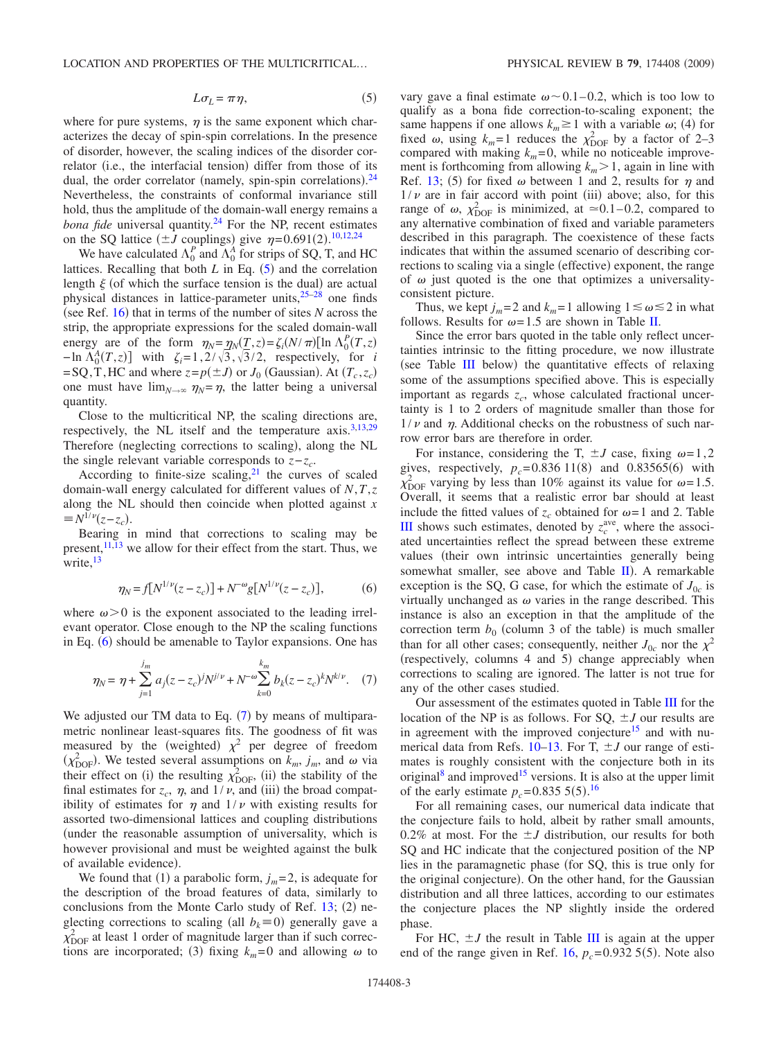<span id="page-2-0"></span>where for pure systems,  $\eta$  is the same exponent which characterizes the decay of spin-spin correlations. In the presence of disorder, however, the scaling indices of the disorder correlator (i.e., the interfacial tension) differ from those of its dual, the order correlator (namely, spin-spin correlations).<sup>[24](#page-8-24)</sup> Nevertheless, the constraints of conformal invariance still hold, thus the amplitude of the domain-wall energy remains a *bona fide* universal quantity.<sup>24</sup> For the NP, recent estimates on the SQ lattice  $(\pm J \text{ couplings})$  give  $\eta = 0.691(2)$ .<sup>[10,](#page-8-9)[12,](#page-8-11)[24](#page-8-24)</sup>

We have calculated  $\Lambda_0^P$  and  $\Lambda_0^A$  for strips of SQ, T, and HC lattices. Recalling that both  $L$  in Eq.  $(5)$  $(5)$  $(5)$  and the correlation length  $\xi$  (of which the surface tension is the dual) are actual physical distances in lattice-parameter units[,25–](#page-8-25)[28](#page-8-26) one finds (see Ref.  $16$ ) that in terms of the number of sites *N* across the strip, the appropriate expressions for the scaled domain-wall energy are of the form  $\eta_N = \eta_N(\underline{T}, z) = \zeta_i(N/\pi)[\ln \Lambda_0^P(T, z)]$  $-\ln \Lambda_0^A(T, z)$  with  $\zeta_i = 1, 2/\sqrt{3}, \sqrt{3}/2$ , respectively, for *i*  $=$  SQ, T, HC and where  $z = p(\pm J)$  or  $J_0$  (Gaussian). At  $(T_c, z_c)$ one must have  $\lim_{N\to\infty} \eta_N = \eta$ , the latter being a universal quantity.

Close to the multicritical NP, the scaling directions are, respectively, the NL itself and the temperature axis.<sup>3[,13](#page-8-12)[,29](#page-8-27)</sup> Therefore (neglecting corrections to scaling), along the NL the single relevant variable corresponds to  $z-z_c$ .

According to finite-size scaling, $21$  the curves of scaled domain-wall energy calculated for different values of *N*,*T*,*z* along the NL should then coincide when plotted against *x*  $\equiv N^{1/\nu}(z - z_c)$ .

Bearing in mind that corrections to scaling may be present, $11,13$  $11,13$  we allow for their effect from the start. Thus, we write. $13$ 

$$
\eta_N = f[N^{1/\nu}(z - z_c)] + N^{-\omega} g[N^{1/\nu}(z - z_c)],\tag{6}
$$

<span id="page-2-1"></span>where  $\omega > 0$  is the exponent associated to the leading irrelevant operator. Close enough to the NP the scaling functions in Eq. ([6](#page-2-1)) should be amenable to Taylor expansions. One has

$$
\eta_N = \eta + \sum_{j=1}^{j_m} a_j (z - z_c)^j N^{j/\nu} + N^{-\omega} \sum_{k=0}^{k_m} b_k (z - z_c)^k N^{k/\nu}.
$$
 (7)

<span id="page-2-2"></span>We adjusted our TM data to Eq.  $(7)$  $(7)$  $(7)$  by means of multiparametric nonlinear least-squares fits. The goodness of fit was measured by the (weighted)  $\chi^2$  per degree of freedom  $(\chi^2_{\text{DOF}})$ . We tested several assumptions on  $k_m$ ,  $j_m$ , and  $\omega$  via their effect on (i) the resulting  $\chi^{2}_{\text{DOF}}$ , (ii) the stability of the final estimates for  $z_c$ ,  $\eta$ , and  $1/\nu$ , and (iii) the broad compatibility of estimates for  $\eta$  and  $1/\nu$  with existing results for assorted two-dimensional lattices and coupling distributions under the reasonable assumption of universality, which is however provisional and must be weighted against the bulk of available evidence).

We found that (1) a parabolic form,  $j_m = 2$ , is adequate for the description of the broad features of data, similarly to conclusions from the Monte Carlo study of Ref.  $13$ ;  $(2)$  neglecting corrections to scaling (all  $b_k = 0$ ) generally gave a  $\chi^2_{\text{DOF}}$  at least 1 order of magnitude larger than if such corrections are incorporated; (3) fixing  $k_m = 0$  and allowing  $\omega$  to

vary gave a final estimate  $\omega \sim 0.1 - 0.2$ , which is too low to qualify as a bona fide correction-to-scaling exponent; the same happens if one allows  $k_m \ge 1$  with a variable  $\omega$ ; (4) for fixed  $\omega$ , using  $k_m = 1$  reduces the  $\chi^2_{\text{DOF}}$  by a factor of 2–3 compared with making  $k_m = 0$ , while no noticeable improvement is forthcoming from allowing  $k_m$  > 1, again in line with Ref. [13;](#page-8-12) (5) for fixed  $\omega$  between 1 and 2, results for  $\eta$  and  $1/\nu$  are in fair accord with point (iii) above; also, for this range of  $\omega$ ,  $\chi^2_{\text{DOF}}$  is minimized, at  $\approx 0.1-0.2$ , compared to any alternative combination of fixed and variable parameters described in this paragraph. The coexistence of these facts indicates that within the assumed scenario of describing corrections to scaling via a single (effective) exponent, the range of  $\omega$  just quoted is the one that optimizes a universalityconsistent picture.

Thus, we kept  $j_m = 2$  and  $k_m = 1$  allowing  $1 \le \omega \le 2$  in what follows. Results for  $\omega = 1.5$  are shown in Table [II.](#page-3-0)

Since the error bars quoted in the table only reflect uncertainties intrinsic to the fitting procedure, we now illustrate (see Table [III](#page-3-1) below) the quantitative effects of relaxing some of the assumptions specified above. This is especially important as regards  $z_c$ , whose calculated fractional uncertainty is 1 to 2 orders of magnitude smaller than those for  $1/\nu$  and  $\eta$ . Additional checks on the robustness of such narrow error bars are therefore in order.

For instance, considering the T,  $\pm J$  case, fixing  $\omega = 1,2$ gives, respectively,  $p_c = 0.836\ 11(8)$  and  $0.83565(6)$  with  $\chi_{\text{DOF}}^2$  varying by less than 10% against its value for  $\omega = 1.5$ . Overall, it seems that a realistic error bar should at least include the fitted values of  $z_c$  obtained for  $\omega = 1$  and 2. Table **[III](#page-3-1)** shows such estimates, denoted by  $z_c^{\text{ave}}$ , where the associated uncertainties reflect the spread between these extreme values (their own intrinsic uncertainties generally being somewhat smaller, see above and Table [II](#page-3-0)). A remarkable exception is the SQ, G case, for which the estimate of  $J_{0c}$  is virtually unchanged as  $\omega$  varies in the range described. This instance is also an exception in that the amplitude of the correction term  $b_0$  (column 3 of the table) is much smaller than for all other cases; consequently, neither  $J_{0c}$  nor the  $\chi^2$ (respectively, columns 4 and 5) change appreciably when corrections to scaling are ignored. The latter is not true for any of the other cases studied.

Our assessment of the estimates quoted in Table [III](#page-3-1) for the location of the NP is as follows. For SQ,  $\pm J$  our results are in agreement with the improved conjecture<sup>15</sup> and with numerical data from Refs.  $10-13$ . For T,  $\pm J$  our range of estimates is roughly consistent with the conjecture both in its original<sup>8</sup> and improved<sup>15</sup> versions. It is also at the upper limit of the early estimate  $p_c = 0.835 \, 5(5).^{16}$  $p_c = 0.835 \, 5(5).^{16}$  $p_c = 0.835 \, 5(5).^{16}$ 

For all remaining cases, our numerical data indicate that the conjecture fails to hold, albeit by rather small amounts, 0.2% at most. For the  $\pm J$  distribution, our results for both SQ and HC indicate that the conjectured position of the NP lies in the paramagnetic phase for SQ, this is true only for the original conjecture). On the other hand, for the Gaussian distribution and all three lattices, according to our estimates the conjecture places the NP slightly inside the ordered phase.

For HC,  $\pm J$  the result in Table [III](#page-3-1) is again at the upper end of the range given in Ref.  $16$ ,  $p_c = 0.9325(5)$ . Note also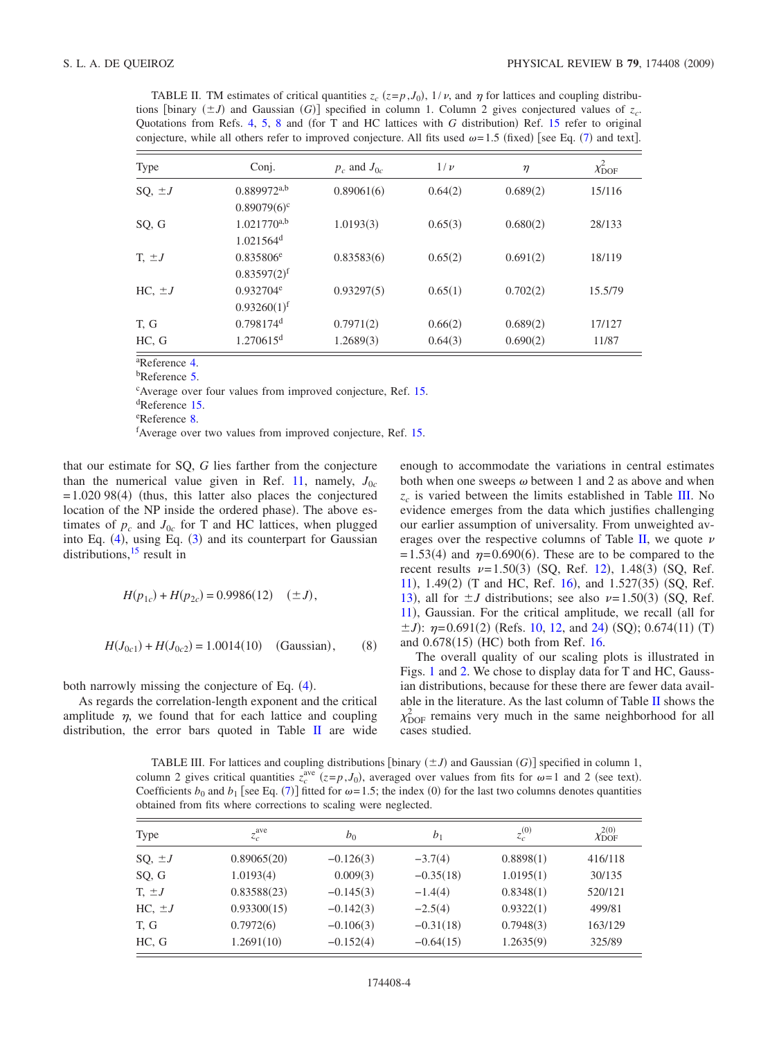<span id="page-3-0"></span>TABLE II. TM estimates of critical quantities  $z_c$  ( $z=p, J_0$ ),  $1/\nu$ , and  $\eta$  for lattices and coupling distributions [binary  $(\pm J)$  and Gaussian *G*)] specified in column 1. Column 2 gives conjectured values of  $z_c$ . Quotations from Refs. [4,](#page-8-4) [5,](#page-8-13) [8](#page-8-7) and (for T and HC lattices with *G* distribution) Ref. [15](#page-8-15) refer to original conjecture, while all others refer to improved conjecture. All fits used  $\omega = 1.5$  (fixed) [see Eq. ([7](#page-2-2)) and text].

| Type        | Conj.                                       | $p_c$ and $J_{0c}$ | $1/\nu$ | $\eta$   | $\chi^2_{\rm{DOF}}$ |
|-------------|---------------------------------------------|--------------------|---------|----------|---------------------|
| SQ, $\pm J$ | $0.889972$ <sup>a,b</sup>                   | 0.89061(6)         | 0.64(2) | 0.689(2) | 15/116              |
|             | $0.89079(6)^c$                              |                    |         |          |                     |
| SQ, G       | $1.021770^{a,b}$<br>$1.021564$ <sup>d</sup> | 1.0193(3)          | 0.65(3) | 0.680(2) | 28/133              |
| $T, \pm J$  | $0.835806^e$<br>$0.83597(2)^f$              | 0.83583(6)         | 0.65(2) | 0.691(2) | 18/119              |
| $HC, \pm J$ | $0.932704^e$<br>0.93260(1) <sup>f</sup>     | 0.93297(5)         | 0.65(1) | 0.702(2) | 15.5/79             |
| T, G        | $0.798174$ <sup>d</sup>                     | 0.7971(2)          | 0.66(2) | 0.689(2) | 17/127              |
| HC, G       | 1.270615 <sup>d</sup>                       | 1.2689(3)          | 0.64(3) | 0.690(2) | 11/87               |

a Reference [4.](#page-8-4)

<sup>b</sup>Reference [5.](#page-8-13)

c Average over four values from improved conjecture, Ref. [15.](#page-8-15)

d Reference [15.](#page-8-15)

e Reference [8.](#page-8-7)

f Average over two values from improved conjecture, Ref. [15.](#page-8-15)

that our estimate for SQ, *G* lies farther from the conjecture than the numerical value given in Ref. [11,](#page-8-10) namely,  $J_{0c}$  $= 1.020$  98(4) (thus, this latter also places the conjectured location of the NP inside the ordered phase). The above estimates of  $p_c$  and  $J_{0c}$  for T and HC lattices, when plugged into Eq.  $(4)$  $(4)$  $(4)$ , using Eq.  $(3)$  $(3)$  $(3)$  and its counterpart for Gaussian distributions,<sup>15</sup> result in

$$
H(p_{1c}) + H(p_{2c}) = 0.9986(12) \quad (\pm J),
$$

<span id="page-3-2"></span>
$$
H(J_{0c1}) + H(J_{0c2}) = 1.0014(10) \quad \text{(Gaussian)}, \tag{8}
$$

both narrowly missing the conjecture of Eq. ([4](#page-1-0)).

As regards the correlation-length exponent and the critical amplitude  $\eta$ , we found that for each lattice and coupling distribution, the error bars quoted in Table  $\mathbf{II}$  $\mathbf{II}$  $\mathbf{II}$  are wide

enough to accommodate the variations in central estimates both when one sweeps  $\omega$  between 1 and 2 as above and when  $z_c$  is varied between the limits established in Table [III.](#page-3-1) No evidence emerges from the data which justifies challenging our earlier assumption of universality. From unweighted av-erages over the respective columns of Table [II,](#page-3-0) we quote  $\nu$  $= 1.53(4)$  and  $\eta = 0.690(6)$ . These are to be compared to the recent results  $\nu = 1.50(3)$  (SQ, Ref. [12](#page-8-11)), 1.48(3) (SQ, Ref. [11](#page-8-10)), 1.49(2) (T and HC, Ref. [16](#page-8-16)), and 1.527(35) (SQ, Ref. [13](#page-8-12)), all for  $\pm J$  distributions; see also  $\nu = 1.50(3)$  (SQ, Ref. [11](#page-8-10)), Gaussian. For the critical amplitude, we recall (all for  $\pm J$ :  $\eta$ =0.691(2) (Refs. [10,](#page-8-9) [12,](#page-8-11) and [24](#page-8-24)) (SQ); 0.674(11) (T) and 0.678(15) (HC) both from Ref. [16.](#page-8-16)

The overall quality of our scaling plots is illustrated in Figs. [1](#page-4-2) and [2.](#page-4-3) We chose to display data for T and HC, Gaussian distributions, because for these there are fewer data available in the literature. As the last column of Table [II](#page-3-0) shows the  $\chi^2_{\text{DOF}}$  remains very much in the same neighborhood for all cases studied.

<span id="page-3-1"></span>TABLE III. For lattices and coupling distributions [binary  $(\pm J)$  and Gaussian *(G)*] specified in column 1, column 2 gives critical quantities  $z_c^{\text{ave}}$  ( $z=p, J_0$ ), averaged over values from fits for  $\omega=1$  and 2 (see text). Coefficients  $b_0$  and  $b_1$  [see Eq. ([7](#page-2-2))] fitted for  $\omega = 1.5$ ; the index (0) for the last two columns denotes quantities obtained from fits where corrections to scaling were neglected.

| Type              | $z_c^{\text{ave}}$ | $b_0$       | b <sub>1</sub> | $z_c^{(0)}$ | $\chi^{2(0)}_{\rm{DOF}}$ |
|-------------------|--------------------|-------------|----------------|-------------|--------------------------|
| SQ, $\pm J$       | 0.89065(20)        | $-0.126(3)$ | $-3.7(4)$      | 0.8898(1)   | 416/118                  |
| SQ, G             | 1.0193(4)          | 0.009(3)    | $-0.35(18)$    | 1.0195(1)   | 30/135                   |
| $T_{\rm t} \pm J$ | 0.83588(23)        | $-0.145(3)$ | $-1.4(4)$      | 0.8348(1)   | 520/121                  |
| $HC, \pm J$       | 0.93300(15)        | $-0.142(3)$ | $-2.5(4)$      | 0.9322(1)   | 499/81                   |
| T. G              | 0.7972(6)          | $-0.106(3)$ | $-0.31(18)$    | 0.7948(3)   | 163/129                  |
| HC, G             | 1.2691(10)         | $-0.152(4)$ | $-0.64(15)$    | 1.2635(9)   | 325/89                   |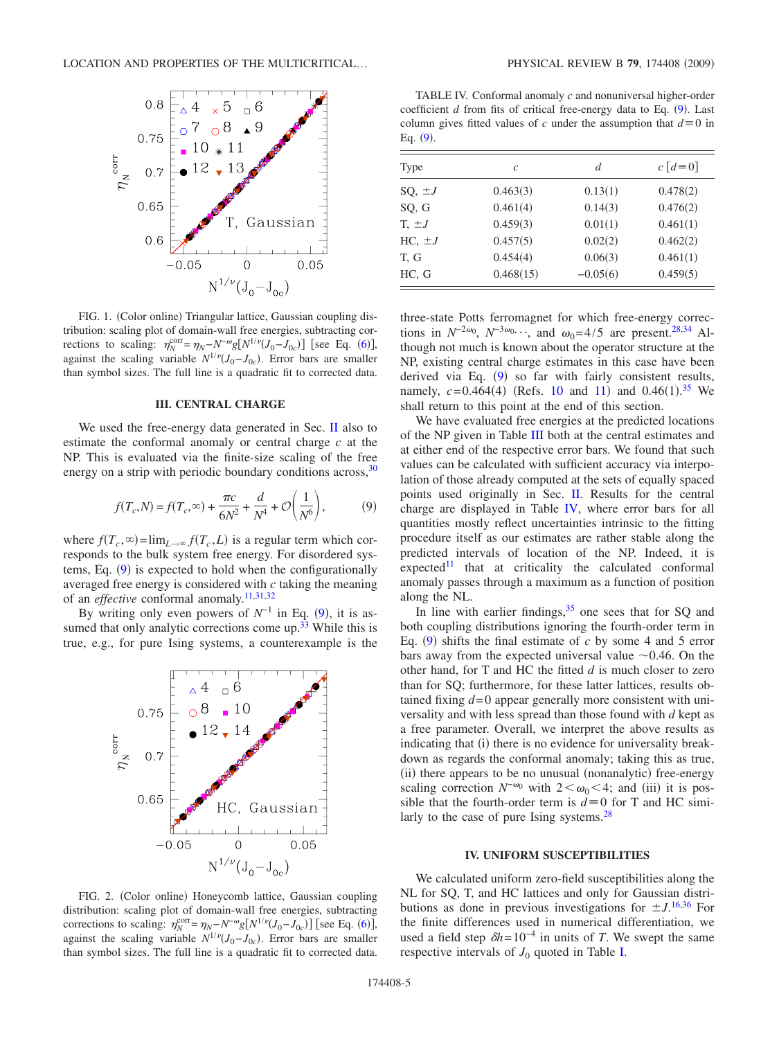<span id="page-4-2"></span>

FIG. 1. (Color online) Triangular lattice, Gaussian coupling distribution: scaling plot of domain-wall free energies, subtracting corrections to scaling:  $\eta_N^{\text{corr}} = \eta_N - N^{-\omega} g[N^{1/\nu}(J_0 - J_{0c})]$  [see Eq. ([6](#page-2-1))], against the scaling variable  $N^{1/\nu}(J_0-J_{0c})$ . Error bars are smaller than symbol sizes. The full line is a quadratic fit to corrected data.

### **III. CENTRAL CHARGE**

<span id="page-4-0"></span>We used the free-energy data generated in Sec. [II](#page-1-2) also to estimate the conformal anomaly or central charge *c* at the NP. This is evaluated via the finite-size scaling of the free energy on a strip with periodic boundary conditions across,  $30$ 

$$
f(T_c, N) = f(T_c, \infty) + \frac{\pi c}{6N^2} + \frac{d}{N^4} + \mathcal{O}\left(\frac{1}{N^6}\right),\tag{9}
$$

<span id="page-4-4"></span>where  $f(T_c, \infty) = \lim_{L \to \infty} f(T_c, L)$  is a regular term which corresponds to the bulk system free energy. For disordered sys-tems, Eq. ([9](#page-4-4)) is expected to hold when the configurationally averaged free energy is considered with *c* taking the meaning of an *effective* conformal anomaly.<sup>11[,31](#page-8-29)[,32](#page-8-30)</sup>

By writing only even powers of  $N^{-1}$  in Eq. ([9](#page-4-4)), it is assumed that only analytic corrections come up.<sup>33</sup> While this is true, e.g., for pure Ising systems, a counterexample is the

<span id="page-4-3"></span>

FIG. 2. (Color online) Honeycomb lattice, Gaussian coupling distribution: scaling plot of domain-wall free energies, subtracting corrections to scaling:  $\eta_N^{\text{corr}} = \eta_N - N^{-\omega} g[N^{1/\nu}(J_0 - J_{0c})]$  [see Eq. ([6](#page-2-1))], against the scaling variable  $N^{1/\nu}(J_0-J_{0c})$ . Error bars are smaller than symbol sizes. The full line is a quadratic fit to corrected data.

<span id="page-4-5"></span>TABLE IV. Conformal anomaly *c* and nonuniversal higher-order coefficient  $d$  from fits of critical free-energy data to Eq.  $(9)$  $(9)$  $(9)$ . Last column gives fitted values of *c* under the assumption that  $d \equiv 0$  in Eq.  $(9)$  $(9)$  $(9)$ .

| Type                | $\mathcal{C}$ | d          | $c \lceil d = 0 \rceil$ |
|---------------------|---------------|------------|-------------------------|
| $SQ, \pm J$         | 0.463(3)      | 0.13(1)    | 0.478(2)                |
| SQ, G               | 0.461(4)      | 0.14(3)    | 0.476(2)                |
| $T_{\rm t}$ $\pm J$ | 0.459(3)      | 0.01(1)    | 0.461(1)                |
| $HC, \pm J$         | 0.457(5)      | 0.02(2)    | 0.462(2)                |
| T, G                | 0.454(4)      | 0.06(3)    | 0.461(1)                |
| HC, G               | 0.468(15)     | $-0.05(6)$ | 0.459(5)                |

three-state Potts ferromagnet for which free-energy corrections in  $N^{-2\omega_0}$ ,  $N^{-3\omega_0}$ , and  $\omega_0 = 4/5$  are present.<sup>28,[34](#page-8-32)</sup> Although not much is known about the operator structure at the NP, existing central charge estimates in this case have been derived via Eq.  $(9)$  $(9)$  $(9)$  so far with fairly consistent results, namely,  $c = 0.464(4)$  (Refs. [10](#page-8-9) and [11](#page-8-10)) and  $0.46(1).^{35}$  $0.46(1).^{35}$  $0.46(1).^{35}$  We shall return to this point at the end of this section.

We have evaluated free energies at the predicted locations of the NP given in Table [III](#page-3-1) both at the central estimates and at either end of the respective error bars. We found that such values can be calculated with sufficient accuracy via interpolation of those already computed at the sets of equally spaced points used originally in Sec. [II.](#page-1-2) Results for the central charge are displayed in Table [IV,](#page-4-5) where error bars for all quantities mostly reflect uncertainties intrinsic to the fitting procedure itself as our estimates are rather stable along the predicted intervals of location of the NP. Indeed, it is  $e$ xpected<sup>11</sup> that at criticality the calculated conformal anomaly passes through a maximum as a function of position along the NL.

In line with earlier findings,  $35$  one sees that for SQ and both coupling distributions ignoring the fourth-order term in Eq.  $(9)$  $(9)$  $(9)$  shifts the final estimate of *c* by some 4 and 5 error bars away from the expected universal value  $\sim 0.46$ . On the other hand, for T and HC the fitted *d* is much closer to zero than for SQ; furthermore, for these latter lattices, results obtained fixing *d*= 0 appear generally more consistent with universality and with less spread than those found with *d* kept as a free parameter. Overall, we interpret the above results as indicating that (i) there is no evidence for universality breakdown as regards the conformal anomaly; taking this as true, (ii) there appears to be no unusual (nonanalytic) free-energy scaling correction  $N^{-\omega_0}$  with  $2 < \omega_0 < 4$ ; and (iii) it is possible that the fourth-order term is  $d \equiv 0$  for T and HC similarly to the case of pure Ising systems. $28$ 

# **IV. UNIFORM SUSCEPTIBILITIES**

<span id="page-4-1"></span>We calculated uniform zero-field susceptibilities along the NL for SQ, T, and HC lattices and only for Gaussian distributions as done in previous investigations for  $\pm J$ .<sup>[16,](#page-8-16)[36](#page-8-34)</sup> For the finite differences used in numerical differentiation, we used a field step  $\delta h$ = 10<sup>-4</sup> in units of *T*. We swept the same respective intervals of  $J_0$  quoted in Table [I.](#page-1-3)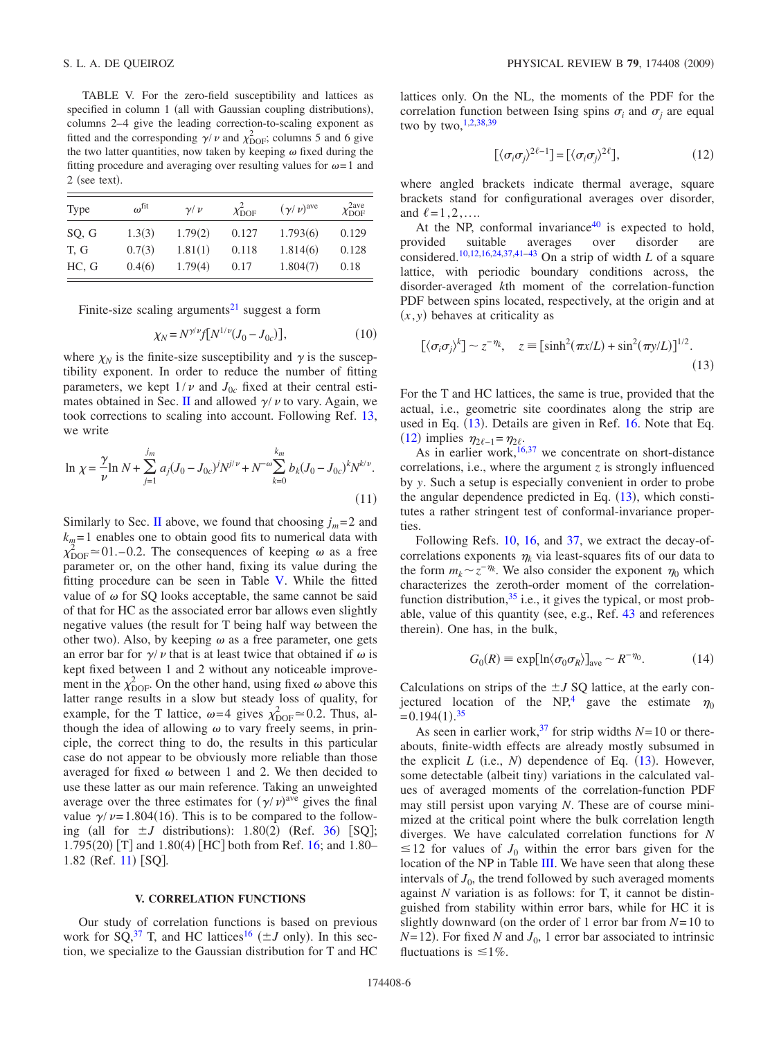<span id="page-5-1"></span>TABLE V. For the zero-field susceptibility and lattices as specified in column 1 (all with Gaussian coupling distributions), columns 2–4 give the leading correction-to-scaling exponent as fitted and the corresponding  $\gamma/\nu$  and  $\chi^2_{\text{DOF}}$ ; columns 5 and 6 give the two latter quantities, now taken by keeping  $\omega$  fixed during the fitting procedure and averaging over resulting values for  $\omega = 1$  and  $2$  (see text).

| Type  | $\omega^{\text{fit}}$ | $\nu/\nu$ | $\chi^2_{\rm{DOF}}$ | $(\gamma/\nu)^{\rm ave}$ | $\chi_{\rm{DOF}}^{\rm{2ave}}$ |
|-------|-----------------------|-----------|---------------------|--------------------------|-------------------------------|
| SQ, G | 1.3(3)                | 1.79(2)   | 0.127               | 1.793(6)                 | 0.129                         |
| T. G  | 0.7(3)                | 1.81(1)   | 0.118               | 1.814(6)                 | 0.128                         |
| HC, G | 0.4(6)                | 1.79(4)   | 0.17                | 1.804(7)                 | 0.18                          |

Finite-size scaling arguments<sup>21</sup> suggest a form

$$
\chi_N = N^{\gamma/\nu} f[N^{1/\nu} (J_0 - J_{0c})],\tag{10}
$$

where  $\chi_N$  is the finite-size susceptibility and  $\gamma$  is the susceptibility exponent. In order to reduce the number of fitting parameters, we kept  $1/\nu$  and  $J_{0c}$  fixed at their central esti-mates obtained in Sec. [II](#page-1-2) and allowed  $\gamma / \nu$  to vary. Again, we took corrections to scaling into account. Following Ref. [13,](#page-8-12) we write

$$
\ln \chi = \frac{\gamma}{\nu} \ln N + \sum_{j=1}^{j_m} a_j (J_0 - J_{0c})^j N^{j/\nu} + N^{-\omega} \sum_{k=0}^{k_m} b_k (J_0 - J_{0c})^k N^{k/\nu}.
$$
\n(11)

Similarly to Sec. [II](#page-1-2) above, we found that choosing  $j_m = 2$  and  $k<sub>m</sub>=1$  enables one to obtain good fits to numerical data with  $\chi_{\text{DOF}}^2 \approx 01. -0.2$ . The consequences of keeping  $\omega$  as a free parameter or, on the other hand, fixing its value during the fitting procedure can be seen in Table [V.](#page-5-1) While the fitted value of  $\omega$  for SQ looks acceptable, the same cannot be said of that for HC as the associated error bar allows even slightly negative values (the result for T being half way between the other two). Also, by keeping  $\omega$  as a free parameter, one gets an error bar for  $\gamma / \nu$  that is at least twice that obtained if  $\omega$  is kept fixed between 1 and 2 without any noticeable improvement in the  $\chi^2_{\text{DOF}}$ . On the other hand, using fixed  $\omega$  above this latter range results in a slow but steady loss of quality, for example, for the T lattice,  $\omega = 4$  gives  $\chi^2_{\text{DOF}} \approx 0.2$ . Thus, although the idea of allowing  $\omega$  to vary freely seems, in principle, the correct thing to do, the results in this particular case do not appear to be obviously more reliable than those averaged for fixed  $\omega$  between 1 and 2. We then decided to use these latter as our main reference. Taking an unweighted average over the three estimates for  $(\gamma/\nu)^{ave}$  gives the final value  $\gamma / \nu = 1.804(16)$ . This is to be compared to the following (all for  $\pm J$  distributions): 1.80(2) (Ref. [36](#page-8-34)) [SQ]; 1.795(20) [T] and 1.80(4) [HC] both from Ref. [16;](#page-8-16) and 1.80– 1.82 (Ref. [11](#page-8-10)) [SQ].

#### **V. CORRELATION FUNCTIONS**

<span id="page-5-0"></span>Our study of correlation functions is based on previous work for SQ,<sup>37</sup> T, and HC lattices<sup>16</sup> ( $\pm J$  only). In this section, we specialize to the Gaussian distribution for T and HC lattices only. On the NL, the moments of the PDF for the correlation function between Ising spins  $\sigma_i$  and  $\sigma_j$  are equal two by two,  $1,2,38,39$  $1,2,38,39$  $1,2,38,39$  $1,2,38,39$ 

$$
[\langle \sigma_i \sigma_j \rangle^{2\ell-1}] = [\langle \sigma_i \sigma_j \rangle^{2\ell}], \tag{12}
$$

<span id="page-5-3"></span>where angled brackets indicate thermal average, square brackets stand for configurational averages over disorder, and  $\ell=1,2,...$ .

At the NP, conformal invariance $40$  is expected to hold, provided suitable averages over disorder are considered.<sup>10,[12](#page-8-11)[,16,](#page-8-16)[24,](#page-8-24)[37,](#page-8-35)[41](#page-8-39)[–43](#page-8-40)</sup> On a strip of width *L* of a square lattice, with periodic boundary conditions across, the disorder-averaged *k*th moment of the correlation-function PDF between spins located, respectively, at the origin and at  $(x, y)$  behaves at criticality as

<span id="page-5-2"></span>
$$
[\langle \sigma_i \sigma_j \rangle^k] \sim z^{-\eta_k}, \quad z \equiv [\sinh^2(\pi x/L) + \sin^2(\pi y/L)]^{1/2}.
$$
\n(13)

For the T and HC lattices, the same is true, provided that the actual, i.e., geometric site coordinates along the strip are used in Eq.  $(13)$  $(13)$  $(13)$ . Details are given in Ref. [16.](#page-8-16) Note that Eq. ([12](#page-5-3)) implies  $\eta_{2\ell-1} = \eta_{2\ell}$ .

As in earlier work,  $16,37$  $16,37$  we concentrate on short-distance correlations, i.e., where the argument *z* is strongly influenced by *y*. Such a setup is especially convenient in order to probe the angular dependence predicted in Eq.  $(13)$  $(13)$  $(13)$ , which constitutes a rather stringent test of conformal-invariance properties.

Following Refs. [10,](#page-8-9) [16,](#page-8-16) and [37,](#page-8-35) we extract the decay-ofcorrelations exponents  $\eta_k$  via least-squares fits of our data to the form  $m_k \sim z^{-\eta_k}$ . We also consider the exponent  $\eta_0$  which characterizes the zeroth-order moment of the correlationfunction distribution,  $35$  i.e., it gives the typical, or most probable, value of this quantity (see, e.g., Ref.  $43$  and references therein). One has, in the bulk,

$$
G_0(R) \equiv \exp[\ln \langle \sigma_0 \sigma_R \rangle]_{\text{ave}} \sim R^{-\eta_0}.
$$
 (14)

Calculations on strips of the  $\pm J$  SQ lattice, at the early conjectured location of the NP,<sup>4</sup> gave the estimate  $\eta_0$  $= 0.194(1).^{35}$  $= 0.194(1).^{35}$  $= 0.194(1).^{35}$ 

As seen in earlier work,<sup>37</sup> for strip widths  $N=10$  or thereabouts, finite-width effects are already mostly subsumed in the explicit  $L$  (i.e.,  $N$ ) dependence of Eq.  $(13)$  $(13)$  $(13)$ . However, some detectable (albeit tiny) variations in the calculated values of averaged moments of the correlation-function PDF may still persist upon varying *N*. These are of course minimized at the critical point where the bulk correlation length diverges. We have calculated correlation functions for *N*  $\leq$  12 for values of  $J_0$  within the error bars given for the location of the NP in Table [III.](#page-3-1) We have seen that along these intervals of  $J_0$ , the trend followed by such averaged moments against *N* variation is as follows: for T, it cannot be distinguished from stability within error bars, while for HC it is slightly downward (on the order of 1 error bar from  $N=10$  to  $N=12$ ). For fixed *N* and  $J_0$ , 1 error bar associated to intrinsic fluctuations is  $\leq 1\%$ .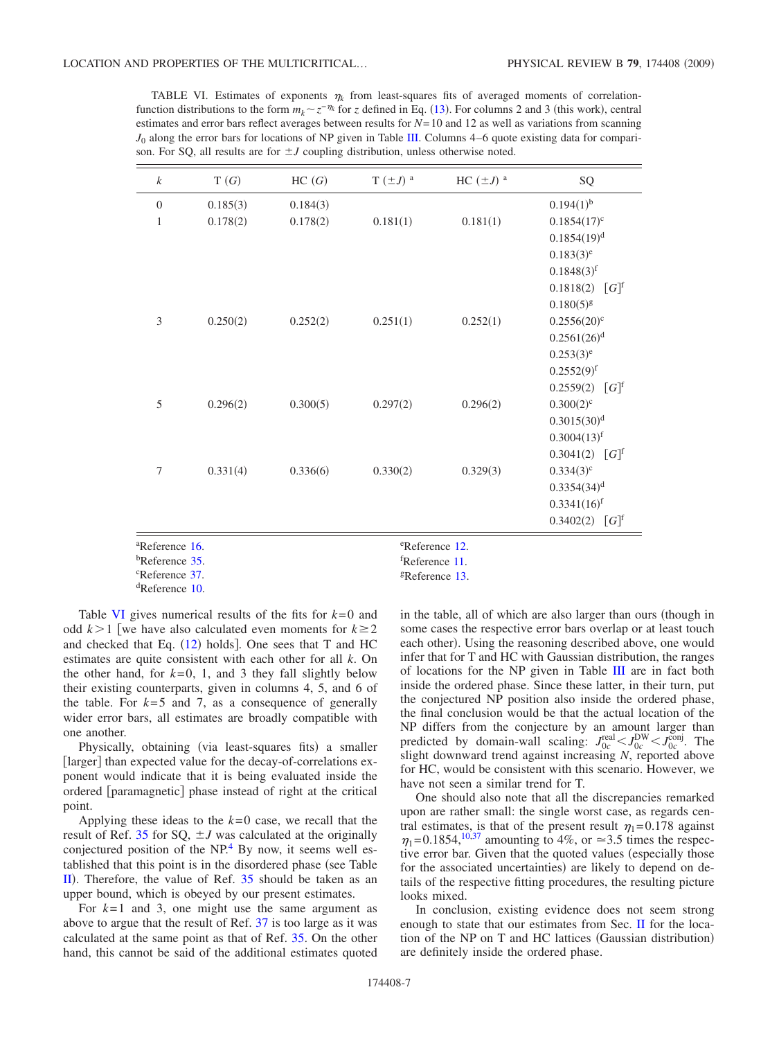<span id="page-6-0"></span>TABLE VI. Estimates of exponents  $\eta_k$  from least-squares fits of averaged moments of correlationfunction distributions to the form  $m_k \sim z^{-\eta_k}$  for *z* defined in Eq. ([13](#page-5-2)). For columns 2 and 3 (this work), central estimates and error bars reflect averages between results for *N*= 10 and 12 as well as variations from scanning  $J_0$  along the error bars for locations of NP given in Table [III.](#page-3-1) Columns  $4-6$  quote existing data for comparison. For SQ, all results are for  $\pm J$  coupling distribution, unless otherwise noted.

| $\boldsymbol{k}$                                         | T(G)     | HC(G)    | T $(\pm J)$ <sup>a</sup> | HC $(\pm J)^a$ | SQ                               |
|----------------------------------------------------------|----------|----------|--------------------------|----------------|----------------------------------|
| $\overline{0}$                                           | 0.185(3) | 0.184(3) |                          |                | $0.194(1)$ <sup>b</sup>          |
| $\mathbf{1}$                                             | 0.178(2) | 0.178(2) | 0.181(1)                 | 0.181(1)       | $0.1854(17)^c$                   |
|                                                          |          |          |                          |                | $0.1854(19)^{d}$                 |
|                                                          |          |          |                          |                | $0.183(3)^e$                     |
|                                                          |          |          |                          |                | $0.1848(3)$ <sup>f</sup>         |
|                                                          |          |          |                          |                | $0.1818(2)$ [G] <sup>f</sup>     |
|                                                          |          |          |                          |                | $0.180(5)^{g}$                   |
| 3                                                        | 0.250(2) | 0.252(2) | 0.251(1)                 | 0.252(1)       | $0.2556(20)^c$                   |
|                                                          |          |          |                          |                | $0.2561(26)$ <sup>d</sup>        |
|                                                          |          |          |                          |                | $0.253(3)^e$                     |
|                                                          |          |          |                          |                | $0.2552(9)^{f}$                  |
|                                                          |          |          |                          |                | 0.2559(2)<br>$\lceil G \rceil^f$ |
| 5                                                        | 0.296(2) | 0.300(5) | 0.297(2)                 | 0.296(2)       | $0.300(2)^{c}$                   |
|                                                          |          |          |                          |                | 0.3015(30) <sup>d</sup>          |
|                                                          |          |          |                          |                | $0.3004(13)^f$                   |
|                                                          |          |          |                          |                | $0.3041(2)$ [G] <sup>f</sup>     |
| $\overline{7}$                                           | 0.331(4) | 0.336(6) | 0.330(2)                 | 0.329(3)       | $0.334(3)^{c}$                   |
|                                                          |          |          |                          |                | $0.3354(34)$ <sup>d</sup>        |
|                                                          |          |          |                          |                | $0.3341(16)$ <sup>f</sup>        |
|                                                          |          |          |                          |                | $0.3402(2)$ [G] <sup>f</sup>     |
| <sup>a</sup> Reference 16.<br><sup>e</sup> Reference 12. |          |          |                          |                |                                  |

f Reference [11.](#page-8-10) gReference [13.](#page-8-12)

b Reference [35.](#page-8-33)

c Reference [37.](#page-8-35)

dReference [10.](#page-8-9)

Table [VI](#page-6-0) gives numerical results of the fits for  $k=0$  and odd  $k > 1$  [we have also calculated even moments for  $k \ge 2$ and checked that Eq.  $(12)$  $(12)$  $(12)$  holds]. One sees that T and HC estimates are quite consistent with each other for all *k*. On the other hand, for  $k=0$ , 1, and 3 they fall slightly below their existing counterparts, given in columns 4, 5, and 6 of the table. For  $k=5$  and 7, as a consequence of generally wider error bars, all estimates are broadly compatible with one another.

Physically, obtaining (via least-squares fits) a smaller [larger] than expected value for the decay-of-correlations exponent would indicate that it is being evaluated inside the ordered [paramagnetic] phase instead of right at the critical point.

Applying these ideas to the  $k=0$  case, we recall that the result of Ref. [35](#page-8-33) for SQ,  $\pm J$  was calculated at the originally conjectured position of the NP[.4](#page-8-4) By now, it seems well established that this point is in the disordered phase (see Table  $\overline{II}$  $\overline{II}$  $\overline{II}$ ). Therefore, the value of Ref. [35](#page-8-33) should be taken as an upper bound, which is obeyed by our present estimates.

For  $k=1$  and 3, one might use the same argument as above to argue that the result of Ref. [37](#page-8-35) is too large as it was calculated at the same point as that of Ref. [35.](#page-8-33) On the other hand, this cannot be said of the additional estimates quoted in the table, all of which are also larger than ours (though in some cases the respective error bars overlap or at least touch each other). Using the reasoning described above, one would infer that for T and HC with Gaussian distribution, the ranges of locations for the NP given in Table [III](#page-3-1) are in fact both inside the ordered phase. Since these latter, in their turn, put the conjectured NP position also inside the ordered phase, the final conclusion would be that the actual location of the NP differs from the conjecture by an amount larger than predicted by domain-wall scaling:  $J_{0c}^{\text{real}} < J_{0c}^{\text{DW}} < J_{0c}^{\text{conj}}$ . The slight downward trend against increasing *N*, reported above for HC, would be consistent with this scenario. However, we have not seen a similar trend for T.

One should also note that all the discrepancies remarked upon are rather small: the single worst case, as regards central estimates, is that of the present result  $\eta_1 = 0.178$  against  $\eta_1 = 0.1854, \frac{10,37}{9}$  $\eta_1 = 0.1854, \frac{10,37}{9}$  $\eta_1 = 0.1854, \frac{10,37}{9}$  amounting to 4%, or  $\approx$  3.5 times the respective error bar. Given that the quoted values (especially those for the associated uncertainties) are likely to depend on details of the respective fitting procedures, the resulting picture looks mixed.

In conclusion, existing evidence does not seem strong enough to state that our estimates from Sec. [II](#page-1-2) for the location of the NP on T and HC lattices (Gaussian distribution) are definitely inside the ordered phase.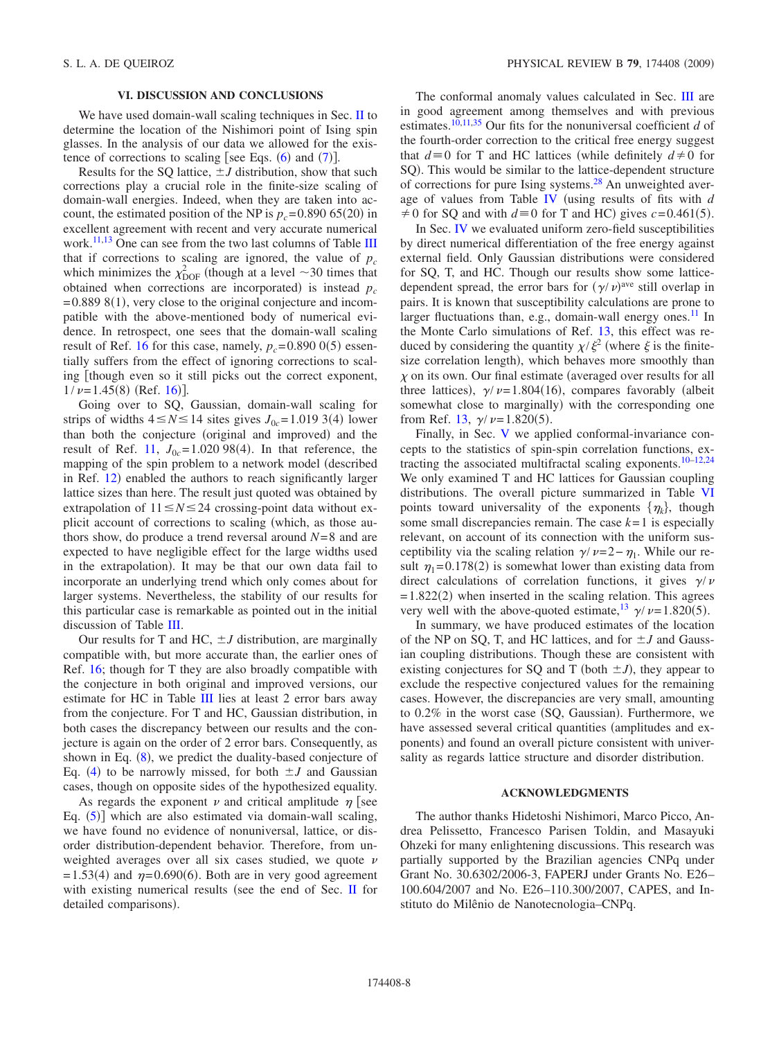## **VI. DISCUSSION AND CONCLUSIONS**

<span id="page-7-0"></span>We have used domain-wall scaling techniques in Sec. [II](#page-1-2) to determine the location of the Nishimori point of Ising spin glasses. In the analysis of our data we allowed for the existence of corrections to scaling [see Eqs.  $(6)$  $(6)$  $(6)$  and  $(7)$  $(7)$  $(7)$ ].

Results for the SQ lattice,  $\pm J$  distribution, show that such corrections play a crucial role in the finite-size scaling of domain-wall energies. Indeed, when they are taken into account, the estimated position of the NP is  $p_c = 0.890\,65(20)$  in excellent agreement with recent and very accurate numerical work.<sup>[11](#page-8-10)[,13](#page-8-12)</sup> One can see from the two last columns of Table [III](#page-3-1) that if corrections to scaling are ignored, the value of  $p_c$ which minimizes the  $\chi_{\text{DOF}}^2$  (though at a level  $\sim$  30 times that obtained when corrections are incorporated) is instead  $p_c$  $= 0.889 8(1)$ , very close to the original conjecture and incompatible with the above-mentioned body of numerical evidence. In retrospect, one sees that the domain-wall scaling result of Ref. [16](#page-8-16) for this case, namely,  $p_c = 0.890\ 0(5)$  essentially suffers from the effect of ignoring corrections to scaling [though even so it still picks out the correct exponent,  $1/\nu = 1.45(8)$  (Ref. [16](#page-8-16))].

Going over to SQ, Gaussian, domain-wall scaling for strips of widths  $4 \le N \le 14$  sites gives  $J_{0c} = 1.01933(4)$  lower than both the conjecture (original and improved) and the result of Ref. [11,](#page-8-10)  $J_{0c} = 1.02098(4)$ . In that reference, the mapping of the spin problem to a network model (described in Ref. [12](#page-8-11)) enabled the authors to reach significantly larger lattice sizes than here. The result just quoted was obtained by extrapolation of  $11 \le N \le 24$  crossing-point data without explicit account of corrections to scaling (which, as those authors show, do produce a trend reversal around  $N=8$  and are expected to have negligible effect for the large widths used in the extrapolation). It may be that our own data fail to incorporate an underlying trend which only comes about for larger systems. Nevertheless, the stability of our results for this particular case is remarkable as pointed out in the initial discussion of Table [III.](#page-3-1)

Our results for T and HC,  $\pm J$  distribution, are marginally compatible with, but more accurate than, the earlier ones of Ref. [16;](#page-8-16) though for T they are also broadly compatible with the conjecture in both original and improved versions, our estimate for HC in Table [III](#page-3-1) lies at least 2 error bars away from the conjecture. For T and HC, Gaussian distribution, in both cases the discrepancy between our results and the conjecture is again on the order of 2 error bars. Consequently, as shown in Eq.  $(8)$  $(8)$  $(8)$ , we predict the duality-based conjecture of Eq. ([4](#page-1-0)) to be narrowly missed, for both  $\pm J$  and Gaussian cases, though on opposite sides of the hypothesized equality.

As regards the exponent  $\nu$  and critical amplitude  $\eta$  [see Eq.  $(5)$  $(5)$  $(5)$ ] which are also estimated via domain-wall scaling, we have found no evidence of nonuniversal, lattice, or disorder distribution-dependent behavior. Therefore, from unweighted averages over all six cases studied, we quote  $\nu$  $= 1.53(4)$  and  $\eta = 0.690(6)$ . Both are in very good agreement with existing numerical results (see the end of Sec. [II](#page-1-2) for detailed comparisons).

The conformal anomaly values calculated in Sec. [III](#page-4-0) are in good agreement among themselves and with previous estimates.<sup>10,[11,](#page-8-10)[35](#page-8-33)</sup> Our fits for the nonuniversal coefficient  $d$  of the fourth-order correction to the critical free energy suggest that  $d \equiv 0$  for T and HC lattices (while definitely  $d \neq 0$  for SQ). This would be similar to the lattice-dependent structure of corrections for pure Ising systems[.28](#page-8-26) An unweighted average of values from Table [IV](#page-4-5) using results of fits with *d*  $\neq$  0 for SQ and with  $d \equiv 0$  for T and HC) gives  $c = 0.461(5)$ .

In Sec. [IV](#page-4-1) we evaluated uniform zero-field susceptibilities by direct numerical differentiation of the free energy against external field. Only Gaussian distributions were considered for SQ, T, and HC. Though our results show some latticedependent spread, the error bars for  $(\gamma/\nu)^{ave}$  still overlap in pairs. It is known that susceptibility calculations are prone to larger fluctuations than, e.g., domain-wall energy ones. $^{11}$  In the Monte Carlo simulations of Ref. [13,](#page-8-12) this effect was reduced by considering the quantity  $\chi/\xi^2$  (where  $\xi$  is the finitesize correlation length), which behaves more smoothly than  $\chi$  on its own. Our final estimate (averaged over results for all three lattices),  $\gamma/\nu = 1.804(16)$ , compares favorably (albeit somewhat close to marginally) with the corresponding one from Ref. [13,](#page-8-12)  $\gamma / \nu = 1.820(5)$ .

Finally, in Sec. [V](#page-5-0) we applied conformal-invariance concepts to the statistics of spin-spin correlation functions, extracting the associated multifractal scaling exponents[.10–](#page-8-9)[12](#page-8-11)[,24](#page-8-24) We only examined T and HC lattices for Gaussian coupling distributions. The overall picture summarized in Table [VI](#page-6-0) points toward universality of the exponents  $\{\eta_k\}$ , though some small discrepancies remain. The case  $k=1$  is especially relevant, on account of its connection with the uniform susceptibility via the scaling relation  $\gamma/\nu=2-\eta_1$ . While our result  $\eta_1 = 0.178(2)$  is somewhat lower than existing data from direct calculations of correlation functions, it gives  $\gamma/\nu$  $= 1.822(2)$  when inserted in the scaling relation. This agrees very well with the above-quoted estimate,  $\frac{13}{7} \gamma / \nu = 1.820(5)$ .

In summary, we have produced estimates of the location of the NP on SQ, T, and HC lattices, and for  $\pm J$  and Gaussian coupling distributions. Though these are consistent with existing conjectures for SQ and T (both  $\pm J$ ), they appear to exclude the respective conjectured values for the remaining cases. However, the discrepancies are very small, amounting to 0.2% in the worst case (SQ, Gaussian). Furthermore, we have assessed several critical quantities (amplitudes and exponents) and found an overall picture consistent with universality as regards lattice structure and disorder distribution.

#### **ACKNOWLEDGMENTS**

The author thanks Hidetoshi Nishimori, Marco Picco, Andrea Pelissetto, Francesco Parisen Toldin, and Masayuki Ohzeki for many enlightening discussions. This research was partially supported by the Brazilian agencies CNPq under Grant No. 30.6302/2006-3, FAPERJ under Grants No. E26– 100.604/2007 and No. E26–110.300/2007, CAPES, and Instituto do Milênio de Nanotecnologia–CNPq.